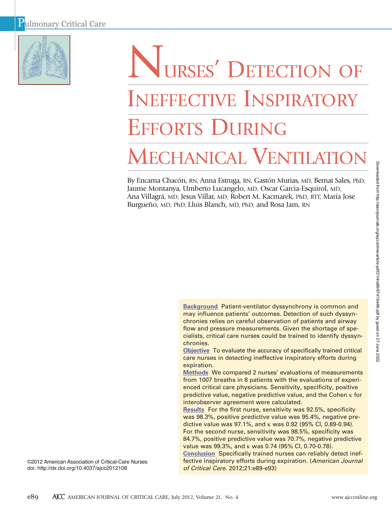

# NURSES' DETECTION OF INEFFECTIVE INSPIRATORY EFFORTS DURING MECHANICAL VENTILATIO

By Encarna Chacón, RN, Anna Estruga, RN, Gastón Murias, MD, Bernat Sales, PhD, Jaume Montanya, Umberto Lucangelo, MD, Oscar Garcia-Esquirol, MD, Ana Villagrá, MD, Jesus Villar, MD, Robert M. Kacmarek, PhD, RTT, María Jose Burgueño, MD, PhD, Lluis Blanch, MD, PhD, and Rosa Jam, RN

> **Background** Patient-ventilator dyssynchrony is common and may influence patients' outcomes. Detection of such dyssynchronies relies on careful observation of patients and airway flow and pressure measurements. Given the shortage of specialists, critical care nurses could be trained to identify dyssynchronies.

> **Objective** To evaluate the accuracy of specifically trained critical care nurses in detecting ineffective inspiratory efforts during expiration.

**Methods** We compared 2 nurses' evaluations of measurements from 1007 breaths in 8 patients with the evaluations of experienced critical care physicians. Sensitivity, specificity, positive predictive value, negative predictive value, and the Cohen κ for interobserver agreement were calculated.

**Results** For the first nurse, sensitivity was 92.5%, specificity was 98.3%, positive predictive value was 95.4%, negative predictive value was 97.1%, and κ was 0.92 (95% CI, 0.89-0.94). For the second nurse, sensitivity was 98.5%, specificity was 84.7%, positive predictive value was 70.7%, negative predictive value was 99.3%, and κ was 0.74 (95% CI, 0.70-0.78).

**Conclusion** Specifically trained nurses can reliably detect ineffective inspiratory efforts during expiration. (*American Journal of Critical Care.* 2012;21:e89-e93)

©2012 American Association of Critical-Care Nurses doi: http://dx.doi.org/10.4037/ajcc2012108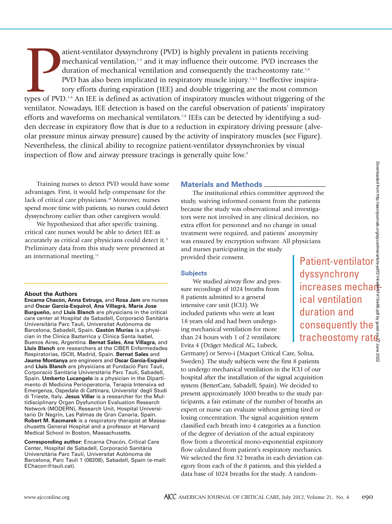atient-ventilator dyssynchrony (PVD) is highly prevalent in patients receiving<br>mechanical ventilation,<sup>1-3</sup> and it may influence their outcome. PVD increases the<br>duration of mechanical ventilation and consequently the trac atient-ventilator dyssynchrony (PVD) is highly prevalent in patients receiving mechanical ventilation, $1-3$  and it may influence their outcome. PVD increases the duration of mechanical ventilation and consequently the tracheostomy rate.<sup>1,4</sup> PVD has also been implicated in respiratory muscle injury.<sup>1,4,5</sup> Ineffective inspiratory efforts during expiration (IEE) and double triggering are the most common ventilator. Nowadays, IEE detection is based on the careful observation of patients' inspiratory efforts and waveforms on mechanical ventilators.<sup>7,8</sup> IEEs can be detected by identifying a sudden decrease in expiratory flow that is due to a reduction in expiratory driving pressure (alveolar pressure minus airway pressure) caused by the activity of inspiratory muscles (see Figure). Nevertheless, the clinical ability to recognize patient-ventilator dyssynchronies by visual inspection of flow and airway pressure tracings is generally quite low.<sup>9</sup>

Training nurses to detect PVD would have some advantages. First, it would help compensate for the lack of critical care physicians.<sup>10</sup> Moreover, nurses spend more time with patients, so nurses could detect dyssynchrony earlier than other caregivers would.

We hypothesized that after specific training, critical care nurses would be able to detect IEE as accurately as critical care physicians could detect it.<sup>11</sup> Preliminary data from this study were presented at an international meeting.12

## **About the Authors**

**Encarna Chacón, Anna Estruga,** and **Rosa Jam** are nurses and **Oscar Garcia-Esquirol, Ana Villagrá, María Jose Burgueño,** and **Lluis Blanch** are physicians in the critical care center at Hospital de Sabadell, Corporació Sanitària Universitària Parc Tauli, Universitat Autònoma de Barcelona, Sabadell, Spain. **Gastón Murias** is a physician in the Clínica Bazterrica y Clínica Santa Isabel, Buenos Aires, Argentina. **Bernat Sales**, **Ana Villagra,** and **Lluis Blanch** are researchers at the CIBER Enfermedades Respiratorias, ISCIII, Madrid, Spain. **Bernat Sales** and **Jaume Montanya** are engineers and **Oscar Garcia-Esquirol** and **Lluis Blanch** are physicians at Fundació Parc Tauli, Corporació Sanitària Universitària Parc Tauli, Sabadell, Spain. **Umberto Lucangelo** is a physician in the Dipartimento di Medicina Perioperatoria, Terapia Intensiva ed Emergenza, Ospedale di Cattinara, Universita' degli Studi di Trieste, Italy. **Jesus Villar** is a researcher for the Multidisciplinary Organ Dysfunction Evaluation Research Network (MODERN), Research Unit, Hospital Universitario Dr Negrin, Las Palmas de Gran Canaria, Spain. **Robert M. Kacmarek** is a respiratory therapist at Massachusetts General Hospital and a professor at Harvard Medical School in Boston, Massachusetts.

**Corresponding author:** Encarna Chacón, Critical Care Center, Hospital de Sabadell, Corporació Sanitària Universitària Parc Taulí, Universitat Autònoma de Barcelona, Parc Taulí 1 (08208), Sabadell, Spain (e-mail: EChacon@tauli.cat).

# **Materials and Methods**

The institutional ethics committee approved the study, waiving informed consent from the patients because the study was observational and investigators were not involved in any clinical decision, no extra effort for personnel and no change in usual treatment were required, and patients' anonymity was ensured by encryption software. All physicians and nurses participating in the study provided their consent.

## **Subjects**

We studied airway flow and pressure recordings of 1024 breaths from 8 patients admitted to a general intensive care unit (ICU). We included patients who were at least 18 years old and had been undergoing mechanical ventilation for more than 24 hours with 1 of 2 ventilators: Evita 4 (Dräger Medical AG, Lubeck,

Germany) or Servo-i (Maquet Critical Care, Solna, Sweden). The study subjects were the first 8 patients to undergo mechanical ventilation in the ICU of our hospital after the installation of the signal acquisition system (BetterCare, Sabadell, Spain). We decided to present approximately 1000 breaths to the study participants, a fair estimate of the number of breaths an expert or nurse can evaluate without getting tired or losing concentration. The signal acquisition system classified each breath into 4 categories as a function of the degree of deviation of the actual expiratory flow from a theoretical mono-exponential expiratory flow calculated from patient's respiratory mechanics. We selected the first 32 breaths in each deviation category from each of the 8 patients, and this yielded a data base of 1024 breaths for the study. A random-

Patient-ventilator dyssynchrony increases mechars ical ventilation duration and consequently the Fracheostomy rates<br>
increases mechanics<br>
increases mechanics<br>
increases mechanics<br>
increases mechanics<br>
increases mechanics<br>
increases on 28<br>
increases on 28<br>
increases on 28<br>
increases and 28<br>
increases in 28<br>
increases i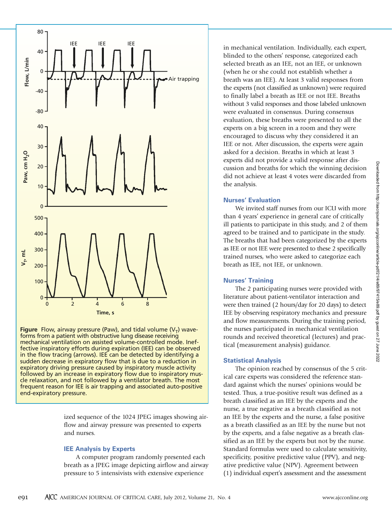

**Figure** Flow, airway pressure (Paw), and tidal volume  $(V<sub>T</sub>)$  waveforms from a patient with obstructive lung disease receiving mechanical ventilation on assisted volume-controlled mode. Ineffective inspiratory efforts during expiration (IEE) can be observed in the flow tracing (arrows). IEE can be detected by identifying a sudden decrease in expiratory flow that is due to a reduction in expiratory driving pressure caused by inspiratory muscle activity followed by an increase in expiratory flow due to inspiratory muscle relaxation, and not followed by a ventilator breath. The most frequent reason for IEE is air trapping and associated auto-positive end-expiratory pressure.

> ized sequence of the 1024 JPEG images showing airflow and airway pressure was presented to experts and nurses.

## **IEE Analysis by Experts**

A computer program randomly presented each breath as a JPEG image depicting airflow and airway pressure to 5 intensivists with extensive experience

in mechanical ventilation. Individually, each expert, blinded to the others' response, categorized each selected breath as an IEE, not an IEE, or unknown (when he or she could not establish whether a breath was an IEE). At least 3 valid responses from the experts (not classified as unknown) were required to finally label a breath as IEE or not IEE. Breaths without 3 valid responses and those labeled unknown were evaluated in consensus. During consensus evaluation, these breaths were presented to all the experts on a big screen in a room and they were encouraged to discuss why they considered it an IEE or not. After discussion, the experts were again asked for a decision. Breaths in which at least 3 experts did not provide a valid response after discussion and breaths for which the winning decision did not achieve at least 4 votes were discarded from the analysis.

## **Nurses' Evaluation**

We invited staff nurses from our ICU with more than 4 years' experience in general care of critically ill patients to participate in this study, and 2 of them agreed to be trained and to participate in the study. The breaths that had been categorized by the experts as IEE or not IEE were presented to these 2 specifically trained nurses, who were asked to categorize each breath as IEE, not IEE, or unknown.

# **Nurses' Training**

The 2 participating nurses were provided with literature about patient-ventilator interaction and were then trained (2 hours/day for 20 days) to detect IEE by observing respiratory mechanics and pressure and flow measurements. During the training period, the nurses participated in mechanical ventilation rounds and received theoretical (lectures) and practical (measurement analysis) guidance.

## **Statistical Analysis**

The opinion reached by consensus of the 5 critical care experts was considered the reference standard against which the nurses' opinions would be tested. Thus, a true-positive result was defined as a breath classified as an IEE by the experts and the nurse, a true negative as a breath classified as not an IEE by the experts and the nurse, a false positive as a breath classified as an IEE by the nurse but not by the experts, and a false negative as a breath classified as an IEE by the experts but not by the nurse. Standard formulas were used to calculate sensitivity, specificity, positive predictive value (PPV), and negative predictive value (NPV). Agreement between (1) individual expert's assessment and the assessment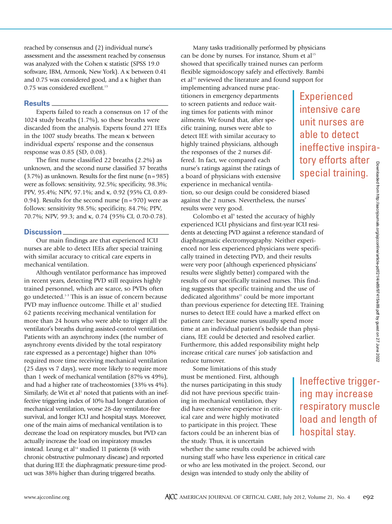reached by consensus and (2) individual nurse's assessment and the assessment reached by consensus was analyzed with the Cohen κ statistic (SPSS 19.0 software, IBM, Armonk, New York). A κ between 0.41 and 0.75 was considered good, and a κ higher than 0.75 was considered excellent.<sup>13</sup>

## **Results**

Experts failed to reach a consensus on 17 of the 1024 study breaths (1.7%), so these breaths were discarded from the analysis. Experts found 271 IEEs in the 1007 study breaths. The mean κ between individual experts' response and the consensus response was 0.85 (SD, 0.08).

The first nurse classified 22 breaths (2.2%) as unknown, and the second nurse classified 37 breaths  $(3.7\%)$  as unknown. Results for the first nurse  $(n=985)$ were as follows: sensitivity, 92.5%; specificity, 98.3%; PPV, 95.4%; NPV, 97.1%; and κ, 0.92 (95% CI, 0.89- 0.94). Results for the second nurse  $(n = 970)$  were as follows: sensitivity 98.5%; specificity, 84.7%; PPV, 70.7%; NPV, 99.3; and κ, 0.74 (95% CI, 0.70-0.78).

# **Discussion**

Our main findings are that experienced ICU nurses are able to detect IEEs after special training with similar accuracy to critical care experts in mechanical ventilation.

Although ventilator performance has improved in recent years, detecting PVD still requires highly trained personnel, which are scarce, so PVDs often go undetected.1-3 This is an issue of concern because PVD may influence outcome. Thille et al<sup>1</sup> studied 62 patients receiving mechanical ventilation for more than 24 hours who were able to trigger all the ventilator's breaths during assisted-control ventilation. Patients with an asynchrony index (the number of asynchrony events divided by the total respiratory rate expressed as a percentage) higher than 10% required more time receiving mechanical ventilation (25 days vs 7 days), were more likely to require more than 1 week of mechanical ventilation (87% vs 49%), and had a higher rate of tracheostomies (33% vs 4%). Similarly, de Wit et al<sup>5</sup> noted that patients with an ineffective triggering index of 10% had longer duration of mechanical ventilation, worse 28-day ventilator-free survival, and longer ICU and hospital stays. Moreover, one of the main aims of mechanical ventilation is to decrease the load on respiratory muscles, but PVD can actually increase the load on inspiratory muscles instead. Leung et al $14$  studied 11 patients (8 with chronic obstructive pulmonary disease) and reported that during IEE the diaphragmatic pressure-time product was 38% higher than during triggered breaths.

Many tasks traditionally performed by physicians can be done by nurses. For instance, Shum et al<sup>15</sup> showed that specifically trained nurses can perform flexible sigmoidoscopy safely and effectively. Bambi et al<sup>16</sup> reviewed the literature and found support for

implementing advanced nurse practitioners in emergency departments to screen patients and reduce waiting times for patients with minor ailments. We found that, after specific training, nurses were able to detect IEE with similar accuracy to highly trained physicians, although the responses of the 2 nurses differed. In fact, we compared each nurse's ratings against the ratings of a board of physicians with extensive experience in mechanical ventila-

tion, so our design could be considered biased against the 2 nurses. Nevertheless, the nurses' results were very good.

Colombo et al<sup>9</sup> tested the accuracy of highly experienced ICU physicians and first-year ICU residents at detecting PVD against a reference standard of diaphragmatic electromyography. Neither experienced nor less experienced physicians were specifically trained in detecting PVD, and their results were very poor (although experienced physicians' results were slightly better) compared with the results of our specifically trained nurses. This finding suggests that specific training and the use of dedicated algorithms<sup>11</sup> could be more important than previous experience for detecting IEE. Training nurses to detect IEE could have a marked effect on patient care: because nurses usually spend more time at an individual patient's bedside than physicians, IEE could be detected and resolved earlier. Furthermore, this added responsibility might help increase critical care nurses' job satisfaction and reduce turnover.

Some limitations of this study must be mentioned. First, although the nurses participating in this study did not have previous specific training in mechanical ventilation, they did have extensive experience in critical care and were highly motivated to participate in this project. These factors could be an inherent bias of the study. Thus, it is uncertain

whether the same results could be achieved with nursing staff who have less experience in critical care or who are less motivated in the project. Second, our design was intended to study only the ability of

**Experienced** intensive care unit nurses are able to detect ineffective inspiratory efforts after special training.

Ineffective trigger-

ing may increase respiratory muscle load and length of

hospital stay.